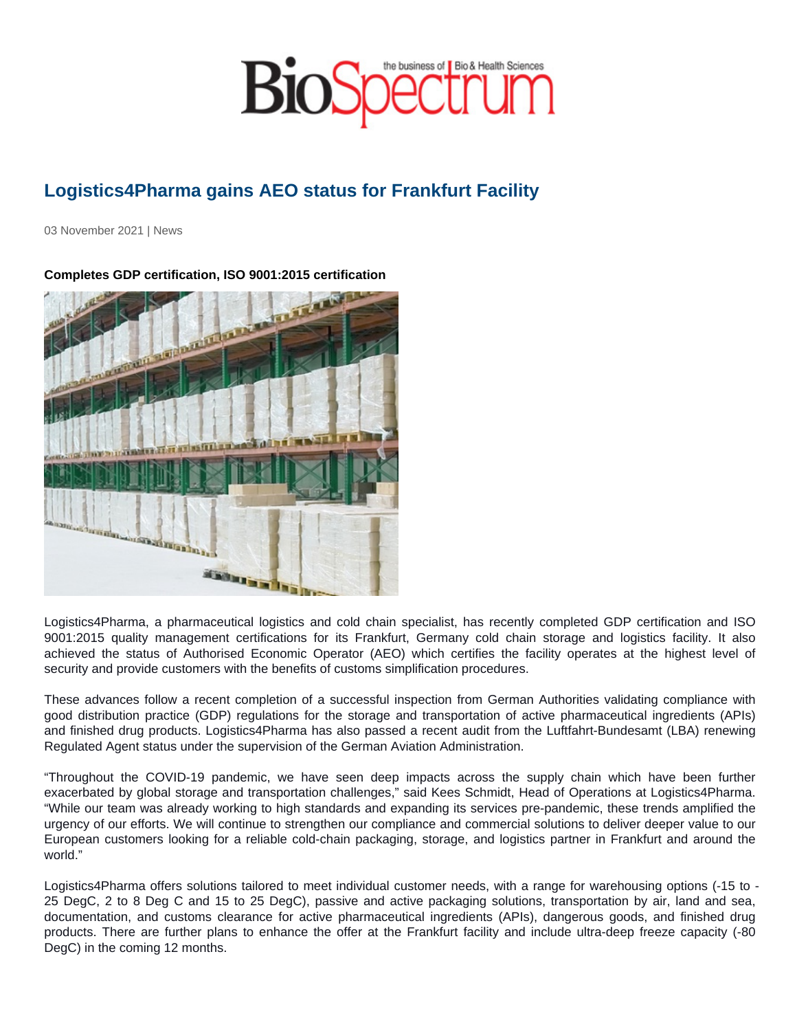## Logistics4Pharma gains AEO status for Frankfurt Facility

03 November 2021 | News

Completes GDP certification, ISO 9001:2015 certification

Logistics4Pharma, a pharmaceutical logistics and cold chain specialist, has recently completed GDP certification and ISO 9001:2015 quality management certifications for its Frankfurt, Germany cold chain storage and logistics facility. It also achieved the status of Authorised Economic Operator (AEO) which certifies the facility operates at the highest level of security and provide customers with the benefits of customs simplification procedures.

These advances follow a recent completion of a successful inspection from German Authorities validating compliance with good distribution practice (GDP) regulations for the storage and transportation of active pharmaceutical ingredients (APIs) and finished drug products. Logistics4Pharma has also passed a recent audit from the Luftfahrt-Bundesamt (LBA) renewing Regulated Agent status under the supervision of the German Aviation Administration.

"Throughout the COVID-19 pandemic, we have seen deep impacts across the supply chain which have been further exacerbated by global storage and transportation challenges," said Kees Schmidt, Head of Operations at Logistics4Pharma. "While our team was already working to high standards and expanding its services pre-pandemic, these trends amplified the urgency of our efforts. We will continue to strengthen our compliance and commercial solutions to deliver deeper value to our European customers looking for a reliable cold-chain packaging, storage, and logistics partner in Frankfurt and around the world."

Logistics4Pharma offers solutions tailored to meet individual customer needs, with a range for warehousing options (-15 to - 25 DegC, 2 to 8 Deg C and 15 to 25 DegC), passive and active packaging solutions, transportation by air, land and sea, documentation, and customs clearance for active pharmaceutical ingredients (APIs), dangerous goods, and finished drug products. There are further plans to enhance the offer at the Frankfurt facility and include ultra-deep freeze capacity (-80 DegC) in the coming 12 months.